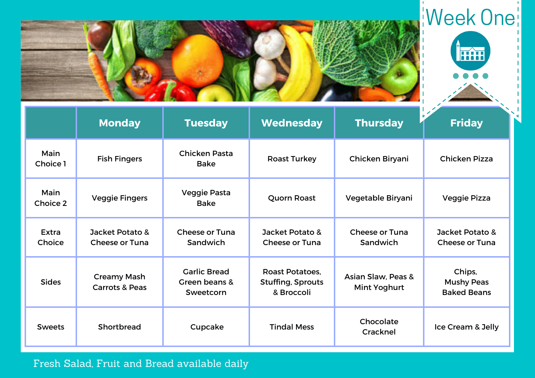



|                        | <b>Monday</b>                                   | <b>Tuesday</b>                                    | <b>Wednesday</b>                                                 | <b>Thursday</b>                    | L.<br><b>Friday</b>                               |
|------------------------|-------------------------------------------------|---------------------------------------------------|------------------------------------------------------------------|------------------------------------|---------------------------------------------------|
| Main<br>Choice 1       | <b>Fish Fingers</b>                             | <b>Chicken Pasta</b><br><b>Bake</b>               | <b>Roast Turkey</b>                                              | Chicken Biryani                    | <b>Chicken Pizza</b>                              |
| Main<br>Choice 2       | <b>Veggie Fingers</b>                           | Veggie Pasta<br><b>Bake</b>                       | <b>Quorn Roast</b>                                               | Vegetable Biryani                  | Veggie Pizza                                      |
| <b>Extra</b><br>Choice | Jacket Potato &<br><b>Cheese or Tuna</b>        | <b>Cheese or Tuna</b><br>Sandwich                 | Jacket Potato &<br><b>Cheese or Tuna</b>                         | <b>Cheese or Tuna</b><br>Sandwich  | Jacket Potato &<br><b>Cheese or Tuna</b>          |
| <b>Sides</b>           | <b>Creamy Mash</b><br><b>Carrots &amp; Peas</b> | <b>Garlic Bread</b><br>Green beans &<br>Sweetcorn | <b>Roast Potatoes,</b><br><b>Stuffing, Sprouts</b><br>& Broccoli | Asian Slaw, Peas &<br>Mint Yoghurt | Chips,<br><b>Mushy Peas</b><br><b>Baked Beans</b> |
| <b>Sweets</b>          | Shortbread                                      | Cupcake                                           | <b>Tindal Mess</b>                                               | Chocolate<br>Cracknel              | Ice Cream & Jelly                                 |

## Fresh Salad, Fruit and Bread available daily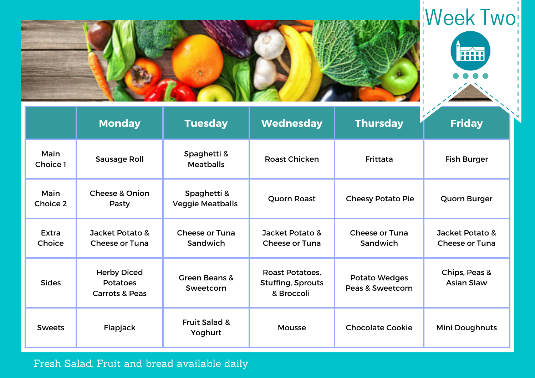



|                        | <b>Monday</b>                                                      | <b>Tuesday</b>                         | Wednesday                                                        | <b>Thursday</b>                   | $\mathscr{L}$<br><b>Friday</b>           |
|------------------------|--------------------------------------------------------------------|----------------------------------------|------------------------------------------------------------------|-----------------------------------|------------------------------------------|
| Main<br>Choice 1       | Sausage Roll                                                       | Spaghetti &<br><b>Meatballs</b>        | <b>Roast Chicken</b>                                             | Frittata                          | <b>Fish Burger</b>                       |
| Main<br>Choice 2       | <b>Cheese &amp; Onion</b><br>Pasty                                 | Spaghetti &<br><b>Veggie Meatballs</b> | <b>Quorn Roast</b>                                               | <b>Cheesy Potato Pie</b>          | Quorn Burger                             |
| <b>Extra</b><br>Choice | Jacket Potato &<br><b>Cheese or Tuna</b>                           | <b>Cheese or Tuna</b><br>Sandwich      | Jacket Potato &<br><b>Cheese or Tuna</b>                         | <b>Cheese or Tuna</b><br>Sandwich | Jacket Potato &<br><b>Cheese or Tuna</b> |
| <b>Sides</b>           | <b>Herby Diced</b><br><b>Potatoes</b><br><b>Carrots &amp; Peas</b> | <b>Green Beans &amp;</b><br>Sweetcorn  | <b>Roast Potatoes,</b><br><b>Stuffing, Sprouts</b><br>& Broccoli | Potato Wedges<br>Peas & Sweetcorn | Chips, Peas &<br><b>Asian Slaw</b>       |
| <b>Sweets</b>          | Flapjack                                                           | <b>Fruit Salad &amp;</b><br>Yoghurt    | <b>Mousse</b>                                                    | <b>Chocolate Cookie</b>           | <b>Mini Doughnuts</b>                    |

## Fresh Salad, Fruit and bread available daily